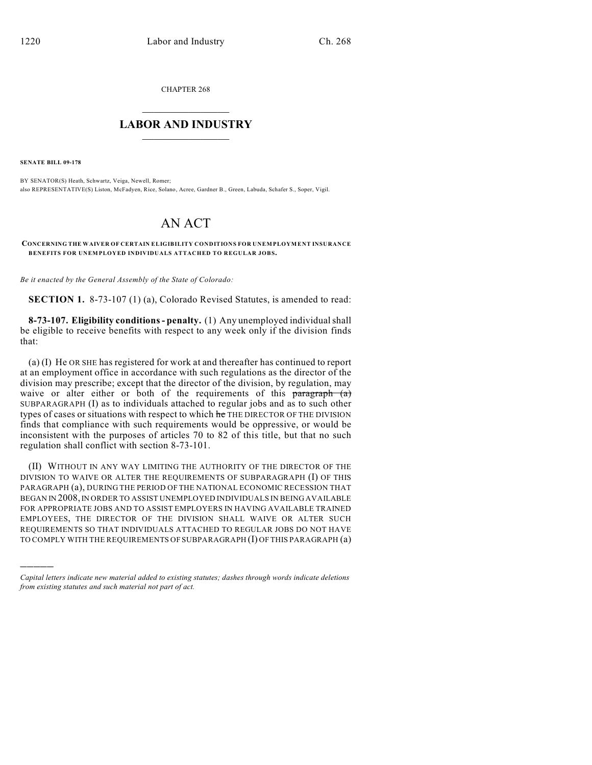CHAPTER 268

## $\overline{\phantom{a}}$  . The set of the set of the set of the set of the set of the set of the set of the set of the set of the set of the set of the set of the set of the set of the set of the set of the set of the set of the set o **LABOR AND INDUSTRY**  $\frac{1}{\sqrt{2}}$  ,  $\frac{1}{\sqrt{2}}$  ,  $\frac{1}{\sqrt{2}}$  ,  $\frac{1}{\sqrt{2}}$  ,  $\frac{1}{\sqrt{2}}$  ,  $\frac{1}{\sqrt{2}}$

**SENATE BILL 09-178**

)))))

BY SENATOR(S) Heath, Schwartz, Veiga, Newell, Romer; also REPRESENTATIVE(S) Liston, McFadyen, Rice, Solano, Acree, Gardner B., Green, Labuda, Schafer S., Soper, Vigil.

## AN ACT

**CONCERNING THE WAIVER OF CERTAIN ELIGIBILITY CONDITIONS FOR UNEMPLOYMENT INSURANCE BENEFITS FOR UNEMPLOYED INDIVIDUALS ATTACHED TO REGULAR JOBS.**

*Be it enacted by the General Assembly of the State of Colorado:*

**SECTION 1.** 8-73-107 (1) (a), Colorado Revised Statutes, is amended to read:

**8-73-107. Eligibility conditions - penalty.** (1) Any unemployed individual shall be eligible to receive benefits with respect to any week only if the division finds that:

(a) (I) He OR SHE has registered for work at and thereafter has continued to report at an employment office in accordance with such regulations as the director of the division may prescribe; except that the director of the division, by regulation, may waive or alter either or both of the requirements of this paragraph (a) SUBPARAGRAPH (I) as to individuals attached to regular jobs and as to such other types of cases or situations with respect to which he THE DIRECTOR OF THE DIVISION finds that compliance with such requirements would be oppressive, or would be inconsistent with the purposes of articles 70 to 82 of this title, but that no such regulation shall conflict with section 8-73-101.

(II) WITHOUT IN ANY WAY LIMITING THE AUTHORITY OF THE DIRECTOR OF THE DIVISION TO WAIVE OR ALTER THE REQUIREMENTS OF SUBPARAGRAPH (I) OF THIS PARAGRAPH (a), DURING THE PERIOD OF THE NATIONAL ECONOMIC RECESSION THAT BEGAN IN 2008, IN ORDER TO ASSIST UNEMPLOYED INDIVIDUALS IN BEING AVAILABLE FOR APPROPRIATE JOBS AND TO ASSIST EMPLOYERS IN HAVING AVAILABLE TRAINED EMPLOYEES, THE DIRECTOR OF THE DIVISION SHALL WAIVE OR ALTER SUCH REQUIREMENTS SO THAT INDIVIDUALS ATTACHED TO REGULAR JOBS DO NOT HAVE TO COMPLY WITH THE REQUIREMENTS OF SUBPARAGRAPH (I) OF THIS PARAGRAPH (a)

*Capital letters indicate new material added to existing statutes; dashes through words indicate deletions from existing statutes and such material not part of act.*